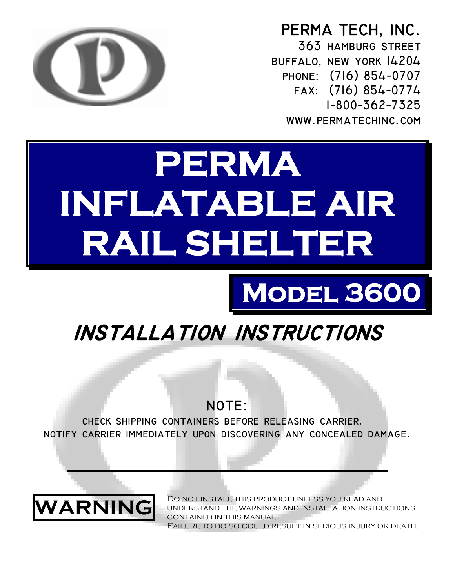

**PERMA TECH, INC. 363 hamburg street buffalo, new york 14204 phone: (716) 854−0707 fax: (716) 854−0774 1−800−362−7325 www.permatechinc.com** 

# **PERMA INFLATABLE AIR RAIL SHELTER**

## **Model 3600**

## **installation instructions**

### NOTE:

**check shipping containers before releasing carrier. notify carrier immediately upon discovering any concealed damage.** 



u nderstand the warnings and installation instructions c ontained in this manual. DO NOT INSTALL THIS PRODUCT UNLESS YOU READ AND Failure to do so could result in serious injury or death.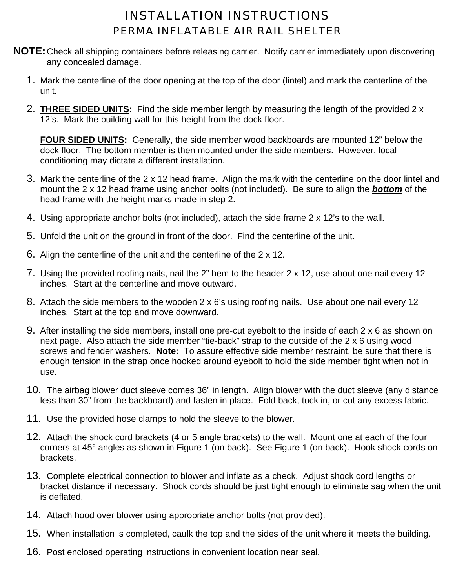#### INSTALLATION INSTRUCTIONS PERMA INFLATABLE AIR RAIL SHELTER

- **NOTE:**Check all shipping containers before releasing carrier. Notify carrier immediately upon discovering any concealed damage.
	- 1. Mark the centerline of the door opening at the top of the door (lintel) and mark the centerline of the unit.
	- 2. **THREE SIDED UNITS:** Find the side member length by measuring the length of the provided 2 x 12's. Mark the building wall for this height from the dock floor.

**FOUR SIDED UNITS:** Generally, the side member wood backboards are mounted 12" below the dock floor. The bottom member is then mounted under the side members. However, local conditioning may dictate a different installation.

- 3. Mark the centerline of the 2 x 12 head frame. Align the mark with the centerline on the door lintel and mount the 2 x 12 head frame using anchor bolts (not included). Be sure to align the *bottom* of the head frame with the height marks made in step 2.
- 4. Using appropriate anchor bolts (not included), attach the side frame 2 x 12's to the wall.
- 5. Unfold the unit on the ground in front of the door. Find the centerline of the unit.
- 6. Align the centerline of the unit and the centerline of the 2 x 12.
- 7. Using the provided roofing nails, nail the 2" hem to the header 2 x 12, use about one nail every 12 inches. Start at the centerline and move outward.
- 8. Attach the side members to the wooden 2 x 6's using roofing nails. Use about one nail every 12 inches. Start at the top and move downward.
- 9. After installing the side members, install one pre-cut eyebolt to the inside of each 2 x 6 as shown on next page. Also attach the side member "tie-back" strap to the outside of the 2 x 6 using wood screws and fender washers. **Note:** To assure effective side member restraint, be sure that there is enough tension in the strap once hooked around eyebolt to hold the side member tight when not in use.
- 10. The airbag blower duct sleeve comes 36" in length. Align blower with the duct sleeve (any distance less than 30" from the backboard) and fasten in place. Fold back, tuck in, or cut any excess fabric.
- 11. Use the provided hose clamps to hold the sleeve to the blower.
- 12. Attach the shock cord brackets (4 or 5 angle brackets) to the wall. Mount one at each of the four corners at 45° angles as shown in Figure 1 (on back). See Figure 1 (on back). Hook shock cords on brackets.
- 13. Complete electrical connection to blower and inflate as a check. Adjust shock cord lengths or bracket distance if necessary. Shock cords should be just tight enough to eliminate sag when the unit is deflated.
- 14. Attach hood over blower using appropriate anchor bolts (not provided).
- 15. When installation is completed, caulk the top and the sides of the unit where it meets the building.
- 16. Post enclosed operating instructions in convenient location near seal.